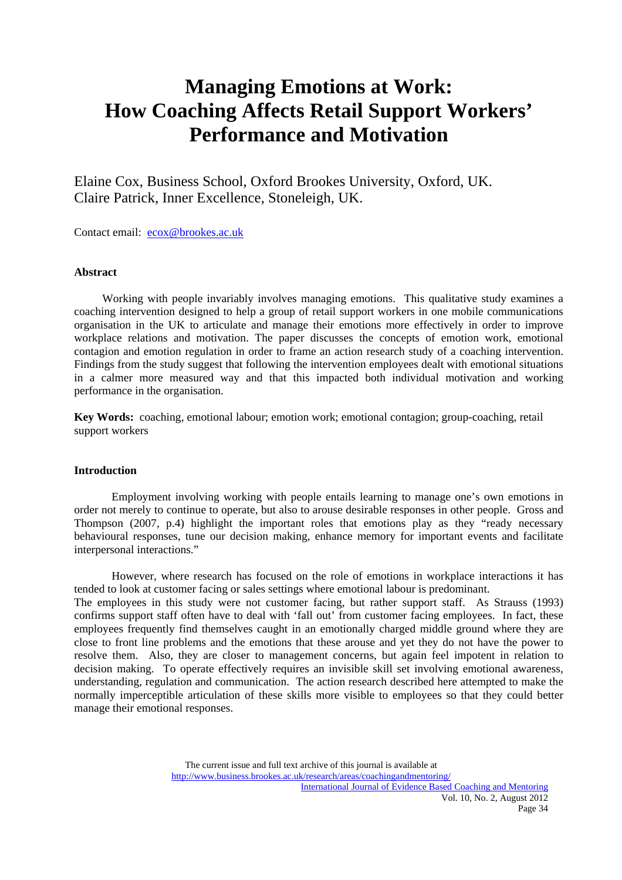# **Managing Emotions at Work: How Coaching Affects Retail Support Workers' Performance and Motivation**

Elaine Cox, Business School, Oxford Brookes University, Oxford, UK. Claire Patrick, Inner Excellence, Stoneleigh, UK.

Contact email: ecox@brookes.ac.uk

## **Abstract**

 Working with people invariably involves managing emotions. This qualitative study examines a coaching intervention designed to help a group of retail support workers in one mobile communications organisation in the UK to articulate and manage their emotions more effectively in order to improve workplace relations and motivation. The paper discusses the concepts of emotion work, emotional contagion and emotion regulation in order to frame an action research study of a coaching intervention. Findings from the study suggest that following the intervention employees dealt with emotional situations in a calmer more measured way and that this impacted both individual motivation and working performance in the organisation.

**Key Words:** coaching, emotional labour; emotion work; emotional contagion; group-coaching, retail support workers

## **Introduction**

Employment involving working with people entails learning to manage one's own emotions in order not merely to continue to operate, but also to arouse desirable responses in other people. Gross and Thompson (2007, p.4) highlight the important roles that emotions play as they "ready necessary behavioural responses, tune our decision making, enhance memory for important events and facilitate interpersonal interactions."

However, where research has focused on the role of emotions in workplace interactions it has tended to look at customer facing or sales settings where emotional labour is predominant.

The employees in this study were not customer facing, but rather support staff. As Strauss (1993) confirms support staff often have to deal with 'fall out' from customer facing employees. In fact, these employees frequently find themselves caught in an emotionally charged middle ground where they are close to front line problems and the emotions that these arouse and yet they do not have the power to resolve them. Also, they are closer to management concerns, but again feel impotent in relation to decision making. To operate effectively requires an invisible skill set involving emotional awareness, understanding, regulation and communication. The action research described here attempted to make the normally imperceptible articulation of these skills more visible to employees so that they could better manage their emotional responses.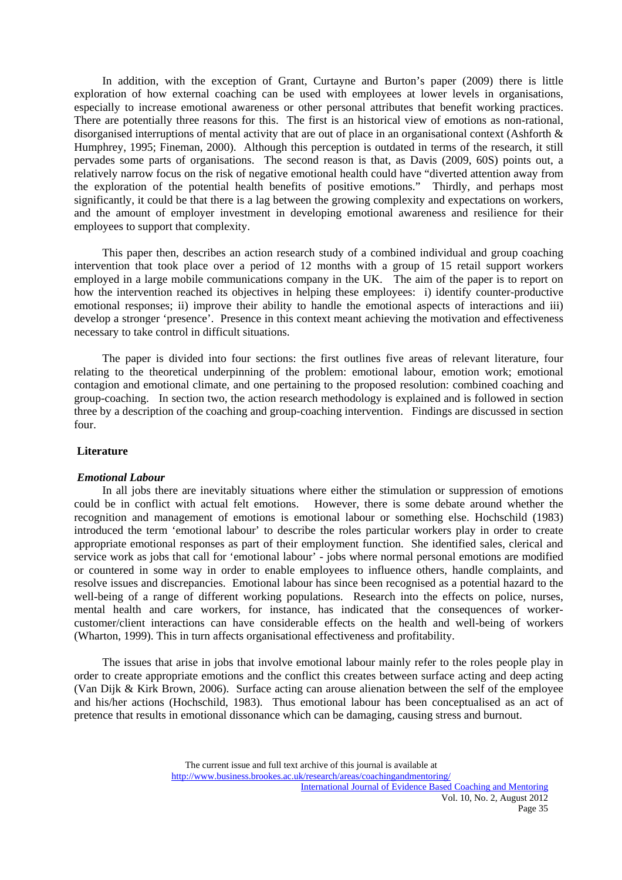In addition, with the exception of Grant, Curtayne and Burton's paper (2009) there is little exploration of how external coaching can be used with employees at lower levels in organisations, especially to increase emotional awareness or other personal attributes that benefit working practices. There are potentially three reasons for this. The first is an historical view of emotions as non-rational, disorganised interruptions of mental activity that are out of place in an organisational context (Ashforth & Humphrey, 1995; Fineman, 2000). Although this perception is outdated in terms of the research, it still pervades some parts of organisations. The second reason is that, as Davis (2009, 60S) points out, a relatively narrow focus on the risk of negative emotional health could have "diverted attention away from the exploration of the potential health benefits of positive emotions." Thirdly, and perhaps most significantly, it could be that there is a lag between the growing complexity and expectations on workers, and the amount of employer investment in developing emotional awareness and resilience for their employees to support that complexity.

 This paper then, describes an action research study of a combined individual and group coaching intervention that took place over a period of 12 months with a group of 15 retail support workers employed in a large mobile communications company in the UK. The aim of the paper is to report on how the intervention reached its objectives in helping these employees: i) identify counter-productive emotional responses; ii) improve their ability to handle the emotional aspects of interactions and iii) develop a stronger 'presence'. Presence in this context meant achieving the motivation and effectiveness necessary to take control in difficult situations.

 The paper is divided into four sections: the first outlines five areas of relevant literature, four relating to the theoretical underpinning of the problem: emotional labour, emotion work; emotional contagion and emotional climate, and one pertaining to the proposed resolution: combined coaching and group-coaching. In section two, the action research methodology is explained and is followed in section three by a description of the coaching and group-coaching intervention. Findings are discussed in section four.

## **Literature**

## *Emotional Labour*

 In all jobs there are inevitably situations where either the stimulation or suppression of emotions could be in conflict with actual felt emotions. However, there is some debate around whether the recognition and management of emotions is emotional labour or something else. Hochschild (1983) introduced the term 'emotional labour' to describe the roles particular workers play in order to create appropriate emotional responses as part of their employment function. She identified sales, clerical and service work as jobs that call for 'emotional labour' - jobs where normal personal emotions are modified or countered in some way in order to enable employees to influence others, handle complaints, and resolve issues and discrepancies. Emotional labour has since been recognised as a potential hazard to the well-being of a range of different working populations. Research into the effects on police, nurses, mental health and care workers, for instance, has indicated that the consequences of workercustomer/client interactions can have considerable effects on the health and well-being of workers (Wharton, 1999). This in turn affects organisational effectiveness and profitability.

 The issues that arise in jobs that involve emotional labour mainly refer to the roles people play in order to create appropriate emotions and the conflict this creates between surface acting and deep acting (Van Dijk & Kirk Brown, 2006). Surface acting can arouse alienation between the self of the employee and his/her actions (Hochschild, 1983). Thus emotional labour has been conceptualised as an act of pretence that results in emotional dissonance which can be damaging, causing stress and burnout.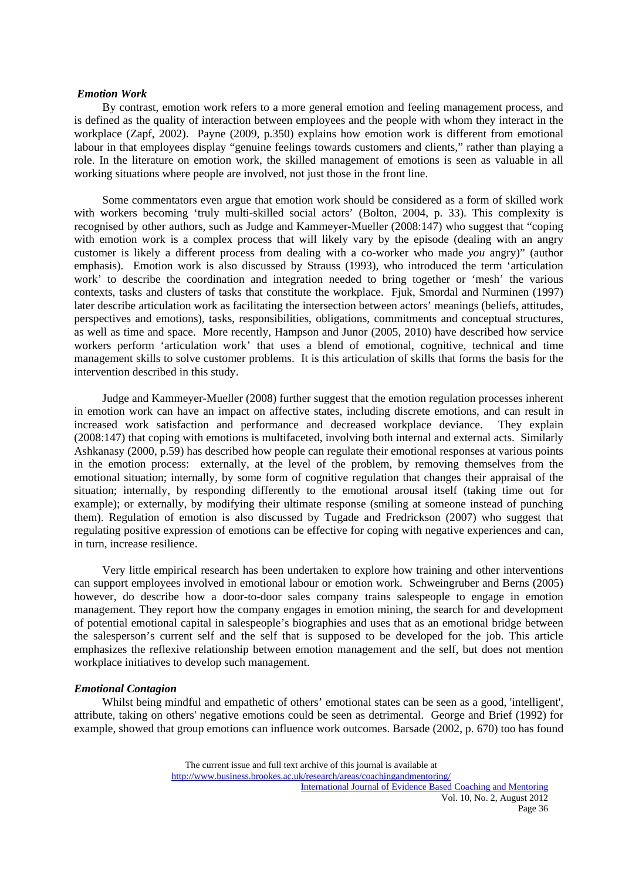#### *Emotion Work*

 By contrast, emotion work refers to a more general emotion and feeling management process, and is defined as the quality of interaction between employees and the people with whom they interact in the workplace (Zapf, 2002). Payne (2009, p.350) explains how emotion work is different from emotional labour in that employees display "genuine feelings towards customers and clients," rather than playing a role. In the literature on emotion work, the skilled management of emotions is seen as valuable in all working situations where people are involved, not just those in the front line.

 Some commentators even argue that emotion work should be considered as a form of skilled work with workers becoming 'truly multi-skilled social actors' (Bolton, 2004, p. 33). This complexity is recognised by other authors, such as Judge and Kammeyer-Mueller (2008:147) who suggest that "coping with emotion work is a complex process that will likely vary by the episode (dealing with an angry customer is likely a different process from dealing with a co-worker who made *you* angry)" (author emphasis). Emotion work is also discussed by Strauss (1993), who introduced the term 'articulation work' to describe the coordination and integration needed to bring together or 'mesh' the various contexts, tasks and clusters of tasks that constitute the workplace. Fjuk, Smordal and Nurminen (1997) later describe articulation work as facilitating the intersection between actors' meanings (beliefs, attitudes, perspectives and emotions), tasks, responsibilities, obligations, commitments and conceptual structures, as well as time and space. More recently, Hampson and Junor (2005, 2010) have described how service workers perform 'articulation work' that uses a blend of emotional, cognitive, technical and time management skills to solve customer problems. It is this articulation of skills that forms the basis for the intervention described in this study.

 Judge and Kammeyer-Mueller (2008) further suggest that the emotion regulation processes inherent in emotion work can have an impact on affective states, including discrete emotions, and can result in increased work satisfaction and performance and decreased workplace deviance. They explain (2008:147) that coping with emotions is multifaceted, involving both internal and external acts. Similarly Ashkanasy (2000, p.59) has described how people can regulate their emotional responses at various points in the emotion process: externally, at the level of the problem, by removing themselves from the emotional situation; internally, by some form of cognitive regulation that changes their appraisal of the situation; internally, by responding differently to the emotional arousal itself (taking time out for example); or externally, by modifying their ultimate response (smiling at someone instead of punching them). Regulation of emotion is also discussed by Tugade and Fredrickson (2007) who suggest that regulating positive expression of emotions can be effective for coping with negative experiences and can, in turn, increase resilience.

 Very little empirical research has been undertaken to explore how training and other interventions can support employees involved in emotional labour or emotion work. Schweingruber and Berns (2005) however, do describe how a door-to-door sales company trains salespeople to engage in emotion management. They report how the company engages in emotion mining, the search for and development of potential emotional capital in salespeople's biographies and uses that as an emotional bridge between the salesperson's current self and the self that is supposed to be developed for the job. This article emphasizes the reflexive relationship between emotion management and the self, but does not mention workplace initiatives to develop such management.

#### *Emotional Contagion*

 Whilst being mindful and empathetic of others' emotional states can be seen as a good, 'intelligent', attribute, taking on others' negative emotions could be seen as detrimental. George and Brief (1992) for example, showed that group emotions can influence work outcomes. Barsade (2002, p. 670) too has found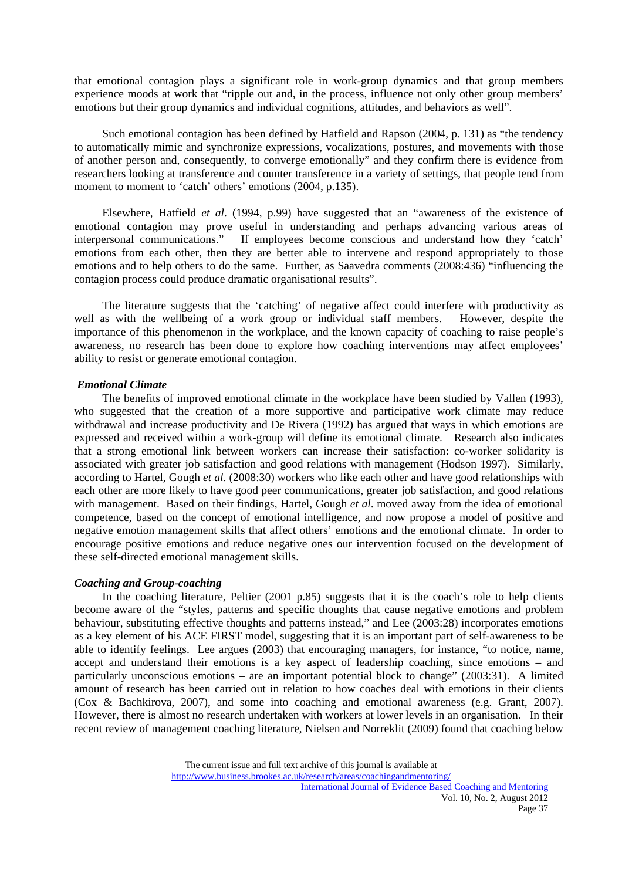that emotional contagion plays a significant role in work-group dynamics and that group members experience moods at work that "ripple out and, in the process, influence not only other group members' emotions but their group dynamics and individual cognitions, attitudes, and behaviors as well".

 Such emotional contagion has been defined by Hatfield and Rapson (2004, p. 131) as "the tendency to automatically mimic and synchronize expressions, vocalizations, postures, and movements with those of another person and, consequently, to converge emotionally" and they confirm there is evidence from researchers looking at transference and counter transference in a variety of settings, that people tend from moment to moment to 'catch' others' emotions (2004, p.135).

 Elsewhere, Hatfield *et al*. (1994, p.99) have suggested that an "awareness of the existence of emotional contagion may prove useful in understanding and perhaps advancing various areas of interpersonal communications." If employees become conscious and understand how they 'catch' emotions from each other, then they are better able to intervene and respond appropriately to those emotions and to help others to do the same. Further, as Saavedra comments (2008:436) "influencing the contagion process could produce dramatic organisational results".

 The literature suggests that the 'catching' of negative affect could interfere with productivity as well as with the wellbeing of a work group or individual staff members. However, despite the importance of this phenomenon in the workplace, and the known capacity of coaching to raise people's awareness, no research has been done to explore how coaching interventions may affect employees' ability to resist or generate emotional contagion.

## *Emotional Climate*

 The benefits of improved emotional climate in the workplace have been studied by Vallen (1993), who suggested that the creation of a more supportive and participative work climate may reduce withdrawal and increase productivity and De Rivera (1992) has argued that ways in which emotions are expressed and received within a work-group will define its emotional climate. Research also indicates that a strong emotional link between workers can increase their satisfaction: co-worker solidarity is associated with greater job satisfaction and good relations with management (Hodson 1997). Similarly, according to Hartel, Gough *et al*. (2008:30) workers who like each other and have good relationships with each other are more likely to have good peer communications, greater job satisfaction, and good relations with management. Based on their findings, Hartel, Gough *et al*. moved away from the idea of emotional competence, based on the concept of emotional intelligence, and now propose a model of positive and negative emotion management skills that affect others' emotions and the emotional climate. In order to encourage positive emotions and reduce negative ones our intervention focused on the development of these self-directed emotional management skills.

# *Coaching and Group-coaching*

 In the coaching literature, Peltier (2001 p.85) suggests that it is the coach's role to help clients become aware of the "styles, patterns and specific thoughts that cause negative emotions and problem behaviour, substituting effective thoughts and patterns instead," and Lee (2003:28) incorporates emotions as a key element of his ACE FIRST model, suggesting that it is an important part of self-awareness to be able to identify feelings. Lee argues (2003) that encouraging managers, for instance, "to notice, name, accept and understand their emotions is a key aspect of leadership coaching, since emotions – and particularly unconscious emotions – are an important potential block to change" (2003:31). A limited amount of research has been carried out in relation to how coaches deal with emotions in their clients (Cox & Bachkirova, 2007), and some into coaching and emotional awareness (e.g. Grant, 2007). However, there is almost no research undertaken with workers at lower levels in an organisation. In their recent review of management coaching literature, Nielsen and Norreklit (2009) found that coaching below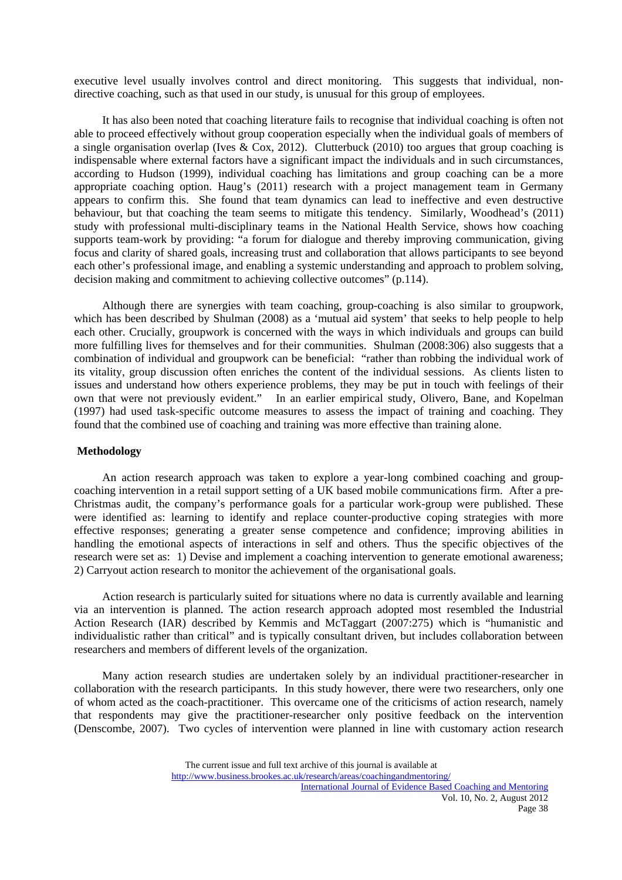executive level usually involves control and direct monitoring. This suggests that individual, nondirective coaching, such as that used in our study, is unusual for this group of employees.

 It has also been noted that coaching literature fails to recognise that individual coaching is often not able to proceed effectively without group cooperation especially when the individual goals of members of a single organisation overlap (Ives & Cox, 2012). Clutterbuck (2010) too argues that group coaching is indispensable where external factors have a significant impact the individuals and in such circumstances, according to Hudson (1999), individual coaching has limitations and group coaching can be a more appropriate coaching option. Haug's (2011) research with a project management team in Germany appears to confirm this. She found that team dynamics can lead to ineffective and even destructive behaviour, but that coaching the team seems to mitigate this tendency. Similarly, Woodhead's (2011) study with professional multi-disciplinary teams in the National Health Service, shows how coaching supports team-work by providing: "a forum for dialogue and thereby improving communication, giving focus and clarity of shared goals, increasing trust and collaboration that allows participants to see beyond each other's professional image, and enabling a systemic understanding and approach to problem solving, decision making and commitment to achieving collective outcomes" (p.114).

 Although there are synergies with team coaching, group-coaching is also similar to groupwork, which has been described by Shulman (2008) as a 'mutual aid system' that seeks to help people to help each other. Crucially, groupwork is concerned with the ways in which individuals and groups can build more fulfilling lives for themselves and for their communities. Shulman (2008:306) also suggests that a combination of individual and groupwork can be beneficial: "rather than robbing the individual work of its vitality, group discussion often enriches the content of the individual sessions. As clients listen to issues and understand how others experience problems, they may be put in touch with feelings of their own that were not previously evident." In an earlier empirical study, Olivero, Bane, and Kopelman (1997) had used task-specific outcome measures to assess the impact of training and coaching. They found that the combined use of coaching and training was more effective than training alone.

## **Methodology**

 An action research approach was taken to explore a year-long combined coaching and groupcoaching intervention in a retail support setting of a UK based mobile communications firm. After a pre-Christmas audit, the company's performance goals for a particular work-group were published. These were identified as: learning to identify and replace counter-productive coping strategies with more effective responses; generating a greater sense competence and confidence; improving abilities in handling the emotional aspects of interactions in self and others. Thus the specific objectives of the research were set as: 1) Devise and implement a coaching intervention to generate emotional awareness; 2) Carryout action research to monitor the achievement of the organisational goals.

 Action research is particularly suited for situations where no data is currently available and learning via an intervention is planned. The action research approach adopted most resembled the Industrial Action Research (IAR) described by Kemmis and McTaggart (2007:275) which is "humanistic and individualistic rather than critical" and is typically consultant driven, but includes collaboration between researchers and members of different levels of the organization.

 Many action research studies are undertaken solely by an individual practitioner-researcher in collaboration with the research participants. In this study however, there were two researchers, only one of whom acted as the coach-practitioner. This overcame one of the criticisms of action research, namely that respondents may give the practitioner-researcher only positive feedback on the intervention (Denscombe, 2007). Two cycles of intervention were planned in line with customary action research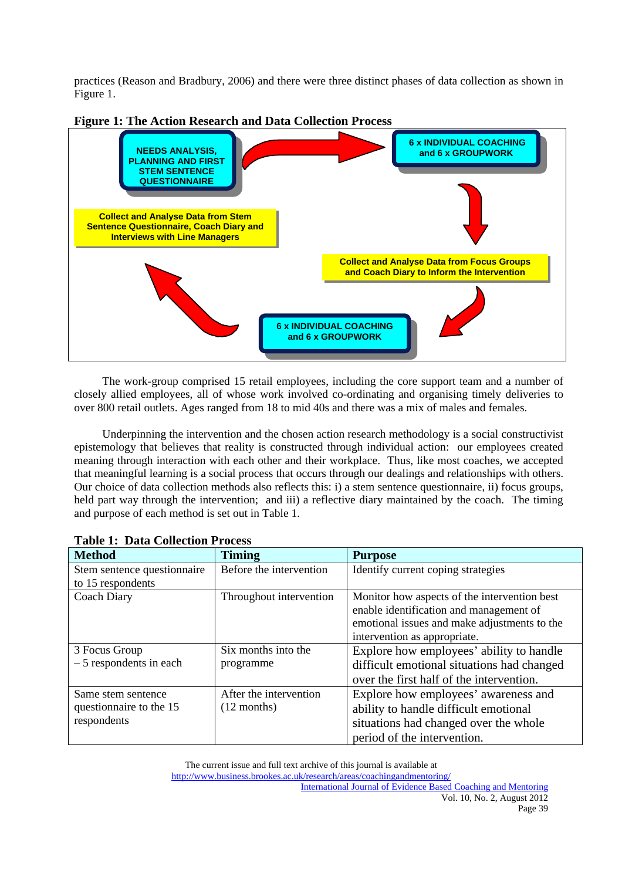practices (Reason and Bradbury, 2006) and there were three distinct phases of data collection as shown in Figure 1.



**Figure 1: The Action Research and Data Collection Process** 

 The work-group comprised 15 retail employees, including the core support team and a number of closely allied employees, all of whose work involved co-ordinating and organising timely deliveries to over 800 retail outlets. Ages ranged from 18 to mid 40s and there was a mix of males and females.

 Underpinning the intervention and the chosen action research methodology is a social constructivist epistemology that believes that reality is constructed through individual action: our employees created meaning through interaction with each other and their workplace. Thus, like most coaches, we accepted that meaningful learning is a social process that occurs through our dealings and relationships with others. Our choice of data collection methods also reflects this: i) a stem sentence questionnaire, ii) focus groups, held part way through the intervention; and iii) a reflective diary maintained by the coach. The timing and purpose of each method is set out in Table 1.

| <b>Method</b>               | <b>Timing</b>           | <b>Purpose</b>                               |
|-----------------------------|-------------------------|----------------------------------------------|
| Stem sentence questionnaire | Before the intervention | Identify current coping strategies           |
| to 15 respondents           |                         |                                              |
| Coach Diary                 | Throughout intervention | Monitor how aspects of the intervention best |
|                             |                         | enable identification and management of      |
|                             |                         | emotional issues and make adjustments to the |
|                             |                         | intervention as appropriate.                 |
| 3 Focus Group               | Six months into the     | Explore how employees' ability to handle     |
| $-5$ respondents in each    | programme               | difficult emotional situations had changed   |
|                             |                         | over the first half of the intervention.     |
| Same stem sentence          | After the intervention  | Explore how employees' awareness and         |
| questionnaire to the 15     | $(12$ months)           | ability to handle difficult emotional        |
| respondents                 |                         | situations had changed over the whole        |
|                             |                         | period of the intervention.                  |

| <b>Table 1: Data Collection Process</b> |
|-----------------------------------------|
|-----------------------------------------|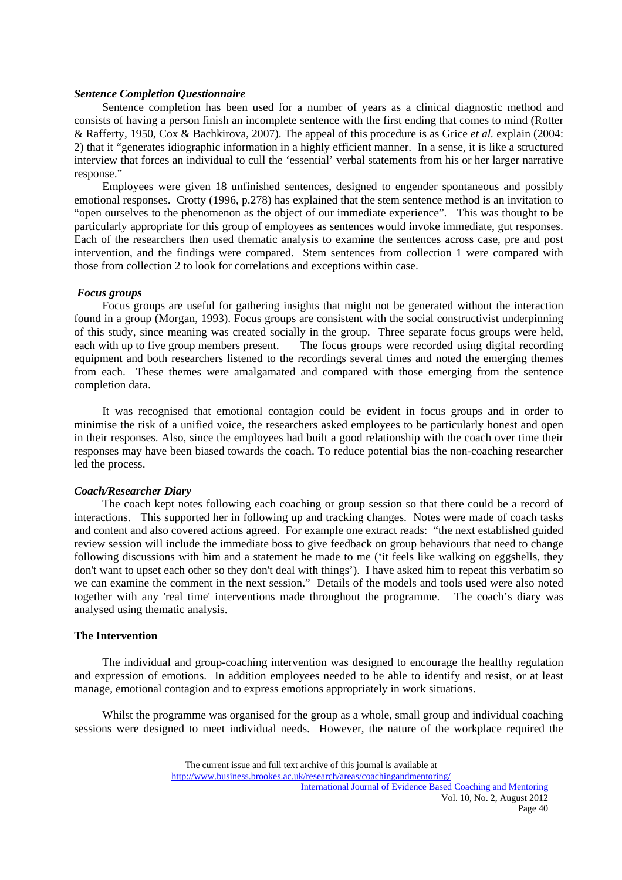#### *Sentence Completion Questionnaire*

 Sentence completion has been used for a number of years as a clinical diagnostic method and consists of having a person finish an incomplete sentence with the first ending that comes to mind (Rotter & Rafferty, 1950, Cox & Bachkirova, 2007). The appeal of this procedure is as Grice *et al.* explain (2004: 2) that it "generates idiographic information in a highly efficient manner. In a sense, it is like a structured interview that forces an individual to cull the 'essential' verbal statements from his or her larger narrative response."

 Employees were given 18 unfinished sentences, designed to engender spontaneous and possibly emotional responses. Crotty (1996, p.278) has explained that the stem sentence method is an invitation to "open ourselves to the phenomenon as the object of our immediate experience". This was thought to be particularly appropriate for this group of employees as sentences would invoke immediate, gut responses. Each of the researchers then used thematic analysis to examine the sentences across case, pre and post intervention, and the findings were compared. Stem sentences from collection 1 were compared with those from collection 2 to look for correlations and exceptions within case.

#### *Focus groups*

 Focus groups are useful for gathering insights that might not be generated without the interaction found in a group (Morgan, 1993). Focus groups are consistent with the social constructivist underpinning of this study, since meaning was created socially in the group. Three separate focus groups were held, each with up to five group members present. The focus groups were recorded using digital recording equipment and both researchers listened to the recordings several times and noted the emerging themes from each. These themes were amalgamated and compared with those emerging from the sentence completion data.

 It was recognised that emotional contagion could be evident in focus groups and in order to minimise the risk of a unified voice, the researchers asked employees to be particularly honest and open in their responses. Also, since the employees had built a good relationship with the coach over time their responses may have been biased towards the coach. To reduce potential bias the non-coaching researcher led the process.

## *Coach/Researcher Diary*

 The coach kept notes following each coaching or group session so that there could be a record of interactions. This supported her in following up and tracking changes. Notes were made of coach tasks and content and also covered actions agreed. For example one extract reads: "the next established guided review session will include the immediate boss to give feedback on group behaviours that need to change following discussions with him and a statement he made to me ('it feels like walking on eggshells, they don't want to upset each other so they don't deal with things'). I have asked him to repeat this verbatim so we can examine the comment in the next session." Details of the models and tools used were also noted together with any 'real time' interventions made throughout the programme. The coach's diary was analysed using thematic analysis.

#### **The Intervention**

 The individual and group-coaching intervention was designed to encourage the healthy regulation and expression of emotions. In addition employees needed to be able to identify and resist, or at least manage, emotional contagion and to express emotions appropriately in work situations.

Whilst the programme was organised for the group as a whole, small group and individual coaching sessions were designed to meet individual needs. However, the nature of the workplace required the

The current issue and full text archive of this journal is available at

International Journal of Evidence Based Coaching and Mentoring Vol. 10, No. 2, August 2012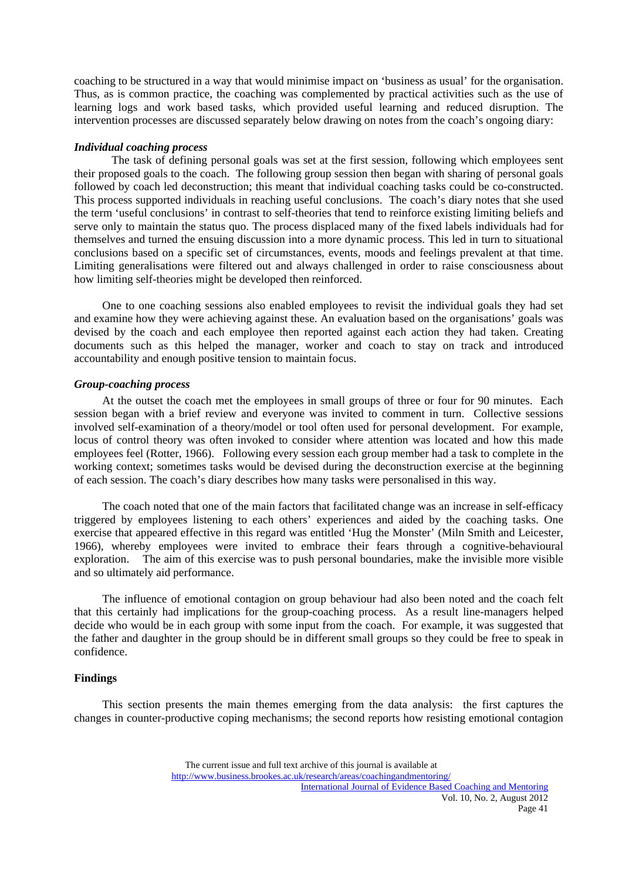coaching to be structured in a way that would minimise impact on 'business as usual' for the organisation. Thus, as is common practice, the coaching was complemented by practical activities such as the use of learning logs and work based tasks, which provided useful learning and reduced disruption. The intervention processes are discussed separately below drawing on notes from the coach's ongoing diary:

## *Individual coaching process*

The task of defining personal goals was set at the first session, following which employees sent their proposed goals to the coach. The following group session then began with sharing of personal goals followed by coach led deconstruction; this meant that individual coaching tasks could be co-constructed. This process supported individuals in reaching useful conclusions. The coach's diary notes that she used the term 'useful conclusions' in contrast to self-theories that tend to reinforce existing limiting beliefs and serve only to maintain the status quo. The process displaced many of the fixed labels individuals had for themselves and turned the ensuing discussion into a more dynamic process. This led in turn to situational conclusions based on a specific set of circumstances, events, moods and feelings prevalent at that time. Limiting generalisations were filtered out and always challenged in order to raise consciousness about how limiting self-theories might be developed then reinforced.

 One to one coaching sessions also enabled employees to revisit the individual goals they had set and examine how they were achieving against these. An evaluation based on the organisations' goals was devised by the coach and each employee then reported against each action they had taken. Creating documents such as this helped the manager, worker and coach to stay on track and introduced accountability and enough positive tension to maintain focus.

## *Group-coaching process*

 At the outset the coach met the employees in small groups of three or four for 90 minutes. Each session began with a brief review and everyone was invited to comment in turn. Collective sessions involved self-examination of a theory/model or tool often used for personal development. For example, locus of control theory was often invoked to consider where attention was located and how this made employees feel (Rotter, 1966). Following every session each group member had a task to complete in the working context; sometimes tasks would be devised during the deconstruction exercise at the beginning of each session. The coach's diary describes how many tasks were personalised in this way.

 The coach noted that one of the main factors that facilitated change was an increase in self-efficacy triggered by employees listening to each others' experiences and aided by the coaching tasks. One exercise that appeared effective in this regard was entitled 'Hug the Monster' (Miln Smith and Leicester, 1966), whereby employees were invited to embrace their fears through a cognitive-behavioural exploration. The aim of this exercise was to push personal boundaries, make the invisible more visible and so ultimately aid performance.

 The influence of emotional contagion on group behaviour had also been noted and the coach felt that this certainly had implications for the group-coaching process. As a result line-managers helped decide who would be in each group with some input from the coach. For example, it was suggested that the father and daughter in the group should be in different small groups so they could be free to speak in confidence.

# **Findings**

 This section presents the main themes emerging from the data analysis: the first captures the changes in counter-productive coping mechanisms; the second reports how resisting emotional contagion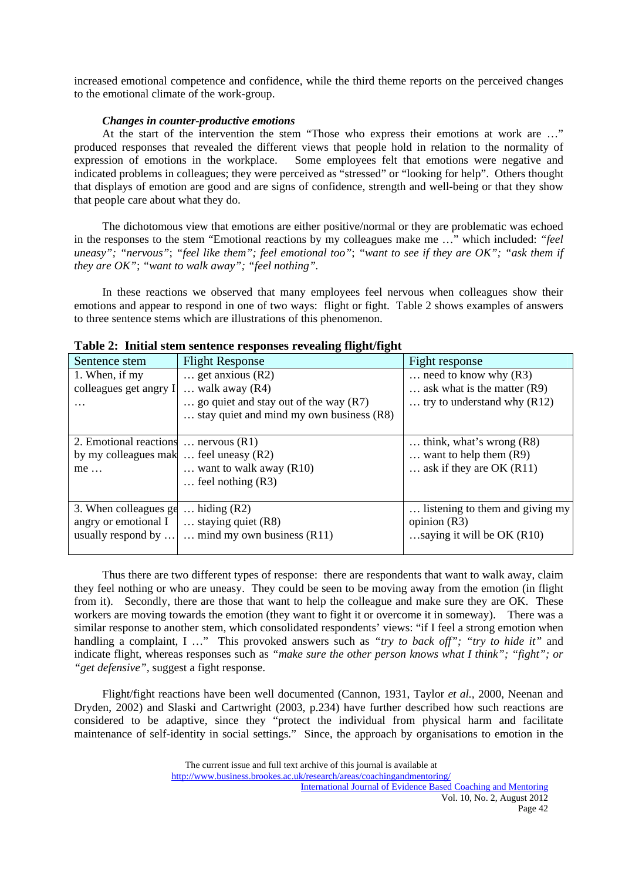increased emotional competence and confidence, while the third theme reports on the perceived changes to the emotional climate of the work-group.

# *Changes in counter-productive emotions*

 At the start of the intervention the stem "Those who express their emotions at work are …" produced responses that revealed the different views that people hold in relation to the normality of expression of emotions in the workplace. Some employees felt that emotions were negative and indicated problems in colleagues; they were perceived as "stressed" or "looking for help". Others thought that displays of emotion are good and are signs of confidence, strength and well-being or that they show that people care about what they do.

 The dichotomous view that emotions are either positive/normal or they are problematic was echoed in the responses to the stem "Emotional reactions by my colleagues make me …" which included: *"feel uneasy"; "nervous"*; *"feel like them"; feel emotional too"*; *"want to see if they are OK"; "ask them if they are OK"*; *"want to walk away"; "feel nothing".*

 In these reactions we observed that many employees feel nervous when colleagues show their emotions and appear to respond in one of two ways: flight or fight. Table 2 shows examples of answers to three sentence stems which are illustrations of this phenomenon.

| Table 21 Think stem sentence responses revealing inghistignt                                          |                                                                                                                                             |                                                                                                   |  |  |  |
|-------------------------------------------------------------------------------------------------------|---------------------------------------------------------------------------------------------------------------------------------------------|---------------------------------------------------------------------------------------------------|--|--|--|
| Sentence stem                                                                                         | <b>Flight Response</b>                                                                                                                      | Fight response                                                                                    |  |  |  |
| 1. When, if my<br>colleagues get angry I                                                              | $\ldots$ get anxious (R2)<br>$\ldots$ walk away (R4)<br>go quiet and stay out of the way $(R7)$<br>stay quiet and mind my own business (R8) | need to know why $(R3)$<br>$\ldots$ ask what is the matter (R9).<br>try to understand why $(R12)$ |  |  |  |
| 2. Emotional reactions $\dots$ nervous $(R1)$<br>by my colleagues mak $\ldots$ feel uneasy (R2)<br>me | want to walk away $(R10)$<br>$\ldots$ feel nothing (R3)                                                                                     | think, what's wrong $(R8)$<br>$\ldots$ want to help them $(R9)$<br>ask if they are OK $(R11)$     |  |  |  |
| 3. When colleagues ge<br>angry or emotional I<br>usually respond by                                   | $\ldots$ hiding (R2)<br>$\ldots$ staying quiet (R8)<br>$\ldots$ mind my own business (R11)                                                  | listening to them and giving my<br>opinion $(R3)$<br>saying it will be OK $(R10)$                 |  |  |  |

|  | Table 2: Initial stem sentence responses revealing flight/fight |  |
|--|-----------------------------------------------------------------|--|
|  |                                                                 |  |

 Thus there are two different types of response: there are respondents that want to walk away, claim they feel nothing or who are uneasy. They could be seen to be moving away from the emotion (in flight from it). Secondly, there are those that want to help the colleague and make sure they are OK. These workers are moving towards the emotion (they want to fight it or overcome it in someway). There was a similar response to another stem, which consolidated respondents' views: "if I feel a strong emotion when handling a complaint, I …" This provoked answers such as *"try to back off"; "try to hide it"* and indicate flight, whereas responses such as *"make sure the other person knows what I think"; "fight"; or "get defensive",* suggest a fight response.

 Flight/fight reactions have been well documented (Cannon, 1931, Taylor *et al.,* 2000, Neenan and Dryden, 2002) and Slaski and Cartwright (2003, p.234) have further described how such reactions are considered to be adaptive, since they "protect the individual from physical harm and facilitate maintenance of self-identity in social settings." Since, the approach by organisations to emotion in the

The current issue and full text archive of this journal is available at

International Journal of Evidence Based Coaching and Mentoring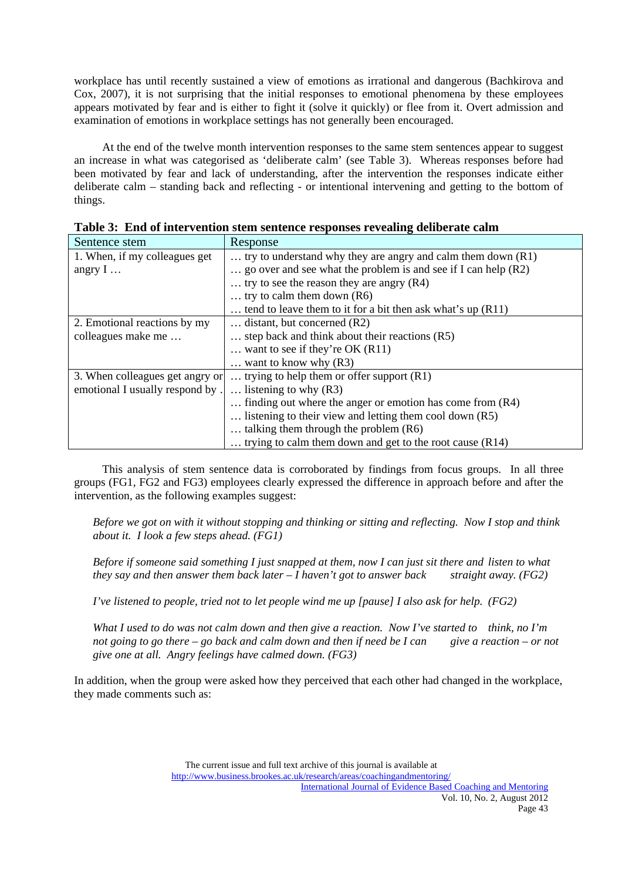workplace has until recently sustained a view of emotions as irrational and dangerous (Bachkirova and Cox, 2007), it is not surprising that the initial responses to emotional phenomena by these employees appears motivated by fear and is either to fight it (solve it quickly) or flee from it. Overt admission and examination of emotions in workplace settings has not generally been encouraged.

 At the end of the twelve month intervention responses to the same stem sentences appear to suggest an increase in what was categorised as 'deliberate calm' (see Table 3). Whereas responses before had been motivated by fear and lack of understanding, after the intervention the responses indicate either deliberate calm – standing back and reflecting - or intentional intervening and getting to the bottom of things.

| Sentence stem                   | Response                                                         |
|---------------------------------|------------------------------------------------------------------|
| 1. When, if my colleagues get   | try to understand why they are angry and calm them down $(R1)$   |
| angry $I \dots$                 | go over and see what the problem is and see if I can help $(R2)$ |
|                                 | try to see the reason they are angry $(R4)$                      |
|                                 | try to calm them down $(R6)$                                     |
|                                 | tend to leave them to it for a bit then ask what's up $(R11)$    |
| 2. Emotional reactions by my    | $\ldots$ distant, but concerned (R2)                             |
| colleagues make me              | $\ldots$ step back and think about their reactions (R5).         |
|                                 | want to see if they're OK $(R11)$                                |
|                                 | want to know why $(R3)$                                          |
| 3. When colleagues get angry or | trying to help them or offer support $(R1)$                      |
| emotional I usually respond by. | listening to why $(R3)$                                          |
|                                 | finding out where the anger or emotion has come from $(R4)$      |
|                                 | listening to their view and letting them cool down $(R5)$        |
|                                 | $\ldots$ talking them through the problem (R6).                  |
|                                 | trying to calm them down and get to the root cause $(R14)$       |

**Table 3: End of intervention stem sentence responses revealing deliberate calm** 

 This analysis of stem sentence data is corroborated by findings from focus groups. In all three groups (FG1, FG2 and FG3) employees clearly expressed the difference in approach before and after the intervention, as the following examples suggest:

*Before we got on with it without stopping and thinking or sitting and reflecting. Now I stop and think about it. I look a few steps ahead. (FG1)* 

*Before if someone said something I just snapped at them, now I can just sit there and listen to what they say and then answer them back later – I haven't got to answer back straight away. (FG2)* 

*I've listened to people, tried not to let people wind me up [pause] I also ask for help. (FG2)* 

*What I used to do was not calm down and then give a reaction. Now I've started to think, no I'm not going to go there – go back and calm down and then if need be I can give a reaction – or not give one at all. Angry feelings have calmed down. (FG3)* 

In addition, when the group were asked how they perceived that each other had changed in the workplace, they made comments such as: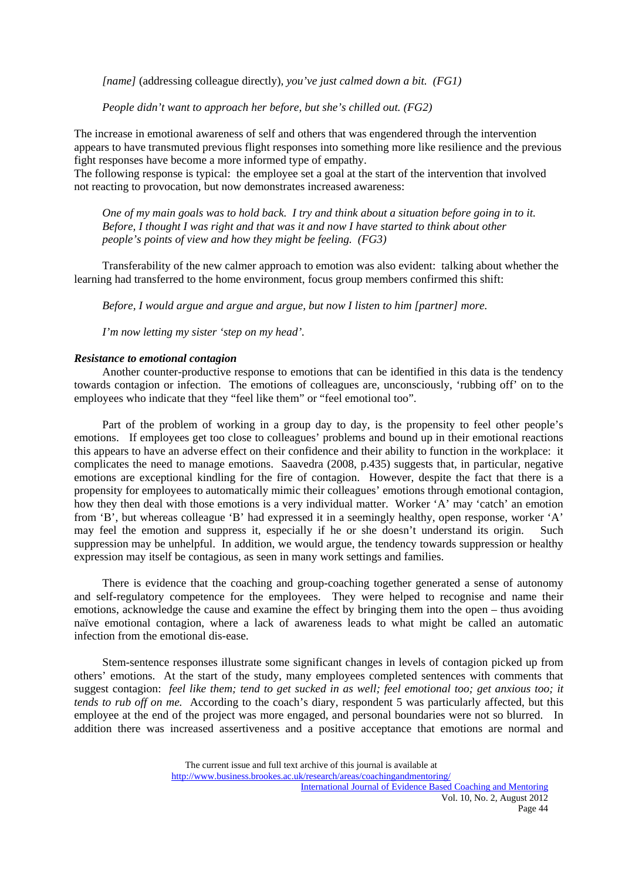*[name]* (addressing colleague directly)*, you've just calmed down a bit. (FG1)* 

 *People didn't want to approach her before, but she's chilled out. (FG2)* 

The increase in emotional awareness of self and others that was engendered through the intervention appears to have transmuted previous flight responses into something more like resilience and the previous fight responses have become a more informed type of empathy.

The following response is typical: the employee set a goal at the start of the intervention that involved not reacting to provocation, but now demonstrates increased awareness:

 *One of my main goals was to hold back. I try and think about a situation before going in to it. Before, I thought I was right and that was it and now I have started to think about other people's points of view and how they might be feeling. (FG3)* 

 Transferability of the new calmer approach to emotion was also evident: talking about whether the learning had transferred to the home environment, focus group members confirmed this shift:

 *Before, I would argue and argue and argue, but now I listen to him [partner] more.* 

 *I'm now letting my sister 'step on my head'.* 

## *Resistance to emotional contagion*

 Another counter-productive response to emotions that can be identified in this data is the tendency towards contagion or infection. The emotions of colleagues are, unconsciously, 'rubbing off' on to the employees who indicate that they "feel like them" or "feel emotional too".

 Part of the problem of working in a group day to day, is the propensity to feel other people's emotions. If employees get too close to colleagues' problems and bound up in their emotional reactions this appears to have an adverse effect on their confidence and their ability to function in the workplace: it complicates the need to manage emotions. Saavedra (2008, p.435) suggests that, in particular, negative emotions are exceptional kindling for the fire of contagion. However, despite the fact that there is a propensity for employees to automatically mimic their colleagues' emotions through emotional contagion, how they then deal with those emotions is a very individual matter. Worker 'A' may 'catch' an emotion from 'B', but whereas colleague 'B' had expressed it in a seemingly healthy, open response, worker 'A' may feel the emotion and suppress it, especially if he or she doesn't understand its origin. Such suppression may be unhelpful. In addition, we would argue, the tendency towards suppression or healthy expression may itself be contagious, as seen in many work settings and families.

 There is evidence that the coaching and group-coaching together generated a sense of autonomy and self-regulatory competence for the employees. They were helped to recognise and name their emotions, acknowledge the cause and examine the effect by bringing them into the open – thus avoiding naïve emotional contagion, where a lack of awareness leads to what might be called an automatic infection from the emotional dis-ease.

 Stem-sentence responses illustrate some significant changes in levels of contagion picked up from others' emotions. At the start of the study, many employees completed sentences with comments that suggest contagion: *feel like them; tend to get sucked in as well; feel emotional too; get anxious too; it tends to rub off on me.* According to the coach's diary, respondent 5 was particularly affected, but this employee at the end of the project was more engaged, and personal boundaries were not so blurred. In addition there was increased assertiveness and a positive acceptance that emotions are normal and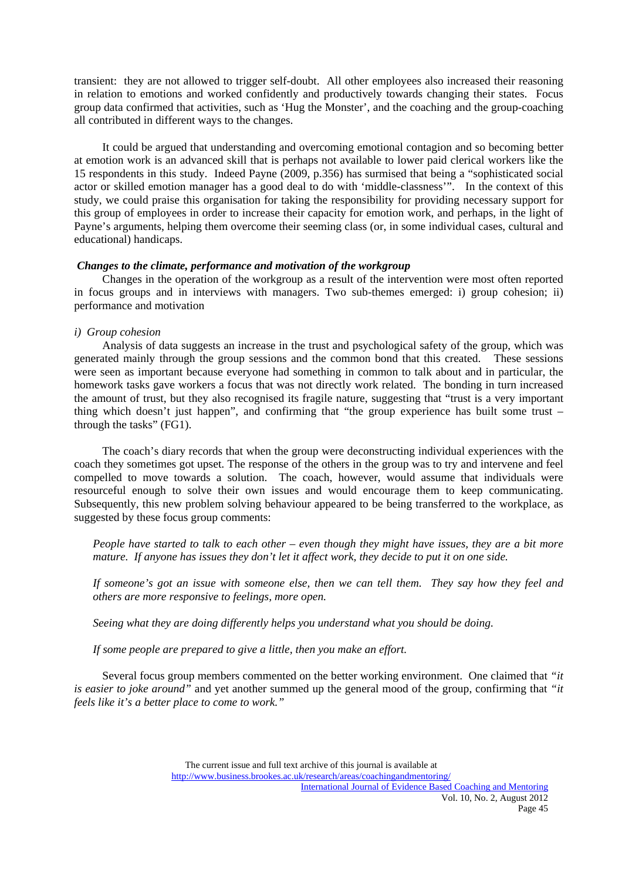transient: they are not allowed to trigger self-doubt. All other employees also increased their reasoning in relation to emotions and worked confidently and productively towards changing their states. Focus group data confirmed that activities, such as 'Hug the Monster', and the coaching and the group-coaching all contributed in different ways to the changes.

 It could be argued that understanding and overcoming emotional contagion and so becoming better at emotion work is an advanced skill that is perhaps not available to lower paid clerical workers like the 15 respondents in this study. Indeed Payne (2009, p.356) has surmised that being a "sophisticated social actor or skilled emotion manager has a good deal to do with 'middle-classness'". In the context of this study, we could praise this organisation for taking the responsibility for providing necessary support for this group of employees in order to increase their capacity for emotion work, and perhaps, in the light of Payne's arguments, helping them overcome their seeming class (or, in some individual cases, cultural and educational) handicaps.

#### *Changes to the climate, performance and motivation of the workgroup*

 Changes in the operation of the workgroup as a result of the intervention were most often reported in focus groups and in interviews with managers. Two sub-themes emerged: i) group cohesion; ii) performance and motivation

## *i) Group cohesion*

 Analysis of data suggests an increase in the trust and psychological safety of the group, which was generated mainly through the group sessions and the common bond that this created. These sessions were seen as important because everyone had something in common to talk about and in particular, the homework tasks gave workers a focus that was not directly work related. The bonding in turn increased the amount of trust, but they also recognised its fragile nature, suggesting that "trust is a very important thing which doesn't just happen", and confirming that "the group experience has built some trust – through the tasks" (FG1).

 The coach's diary records that when the group were deconstructing individual experiences with the coach they sometimes got upset. The response of the others in the group was to try and intervene and feel compelled to move towards a solution. The coach, however, would assume that individuals were resourceful enough to solve their own issues and would encourage them to keep communicating. Subsequently, this new problem solving behaviour appeared to be being transferred to the workplace, as suggested by these focus group comments:

*People have started to talk to each other – even though they might have issues, they are a bit more mature. If anyone has issues they don't let it affect work, they decide to put it on one side.* 

*If someone's got an issue with someone else, then we can tell them. They say how they feel and others are more responsive to feelings, more open.* 

*Seeing what they are doing differently helps you understand what you should be doing.* 

*If some people are prepared to give a little, then you make an effort.* 

 Several focus group members commented on the better working environment. One claimed that *"it is easier to joke around"* and yet another summed up the general mood of the group, confirming that *"it feels like it's a better place to come to work."*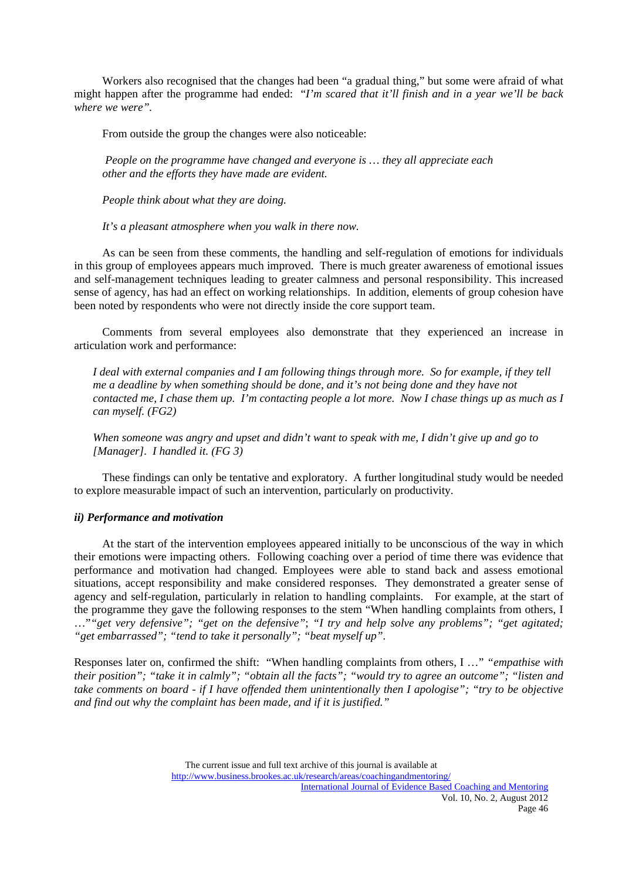Workers also recognised that the changes had been "a gradual thing," but some were afraid of what might happen after the programme had ended: "*I'm scared that it'll finish and in a year we'll be back where we were".*

From outside the group the changes were also noticeable:

 *People on the programme have changed and everyone is … they all appreciate each other and the efforts they have made are evident.* 

 *People think about what they are doing.* 

 *It's a pleasant atmosphere when you walk in there now.* 

 As can be seen from these comments, the handling and self-regulation of emotions for individuals in this group of employees appears much improved. There is much greater awareness of emotional issues and self-management techniques leading to greater calmness and personal responsibility. This increased sense of agency, has had an effect on working relationships. In addition, elements of group cohesion have been noted by respondents who were not directly inside the core support team.

 Comments from several employees also demonstrate that they experienced an increase in articulation work and performance:

*I deal with external companies and I am following things through more. So for example, if they tell me a deadline by when something should be done, and it's not being done and they have not contacted me, I chase them up. I'm contacting people a lot more. Now I chase things up as much as I can myself. (FG2)* 

*When someone was angry and upset and didn't want to speak with me, I didn't give up and go to [Manager]. I handled it. (FG 3)* 

 These findings can only be tentative and exploratory. A further longitudinal study would be needed to explore measurable impact of such an intervention, particularly on productivity.

# *ii) Performance and motivation*

 At the start of the intervention employees appeared initially to be unconscious of the way in which their emotions were impacting others. Following coaching over a period of time there was evidence that performance and motivation had changed. Employees were able to stand back and assess emotional situations, accept responsibility and make considered responses. They demonstrated a greater sense of agency and self-regulation, particularly in relation to handling complaints. For example, at the start of the programme they gave the following responses to the stem "When handling complaints from others, I …"*"get very defensive"; "get on the defensive"*; *"I try and help solve any problems"; "get agitated; "get embarrassed"; "tend to take it personally"; "beat myself up".*

Responses later on, confirmed the shift: "When handling complaints from others, I …" *"empathise with their position"; "take it in calmly"; "obtain all the facts"; "would try to agree an outcome"; "listen and take comments on board - if I have offended them unintentionally then I apologise"; "try to be objective and find out why the complaint has been made, and if it is justified."*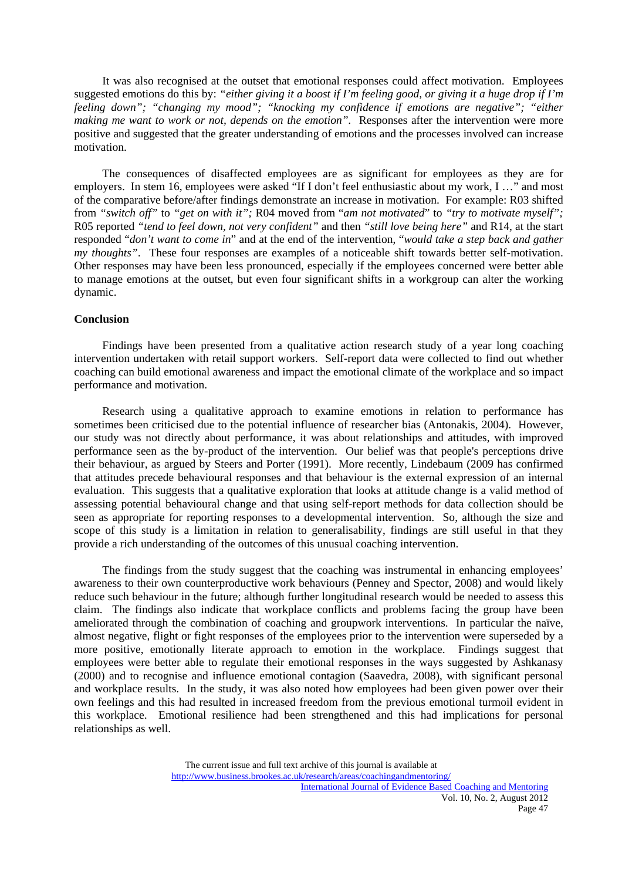It was also recognised at the outset that emotional responses could affect motivation. Employees suggested emotions do this by: *"either giving it a boost if I'm feeling good, or giving it a huge drop if I'm feeling down"; "changing my mood"; "knocking my confidence if emotions are negative"; "either making me want to work or not, depends on the emotion".* Responses after the intervention were more positive and suggested that the greater understanding of emotions and the processes involved can increase motivation.

 The consequences of disaffected employees are as significant for employees as they are for employers. In stem 16, employees were asked "If I don't feel enthusiastic about my work, I …" and most of the comparative before/after findings demonstrate an increase in motivation. For example: R03 shifted from *"switch off"* to *"get on with it";* R04 moved from "*am not motivated*" to *"try to motivate myself";* R05 reported *"tend to feel down, not very confident"* and then *"still love being here"* and R14, at the start responded "*don't want to come in*" and at the end of the intervention, "*would take a step back and gather my thoughts"*. These four responses are examples of a noticeable shift towards better self-motivation. Other responses may have been less pronounced, especially if the employees concerned were better able to manage emotions at the outset, but even four significant shifts in a workgroup can alter the working dynamic.

## **Conclusion**

 Findings have been presented from a qualitative action research study of a year long coaching intervention undertaken with retail support workers. Self-report data were collected to find out whether coaching can build emotional awareness and impact the emotional climate of the workplace and so impact performance and motivation.

 Research using a qualitative approach to examine emotions in relation to performance has sometimes been criticised due to the potential influence of researcher bias (Antonakis, 2004). However, our study was not directly about performance, it was about relationships and attitudes, with improved performance seen as the by-product of the intervention. Our belief was that people's perceptions drive their behaviour, as argued by Steers and Porter (1991). More recently, Lindebaum (2009 has confirmed that attitudes precede behavioural responses and that behaviour is the external expression of an internal evaluation. This suggests that a qualitative exploration that looks at attitude change is a valid method of assessing potential behavioural change and that using self-report methods for data collection should be seen as appropriate for reporting responses to a developmental intervention. So, although the size and scope of this study is a limitation in relation to generalisability, findings are still useful in that they provide a rich understanding of the outcomes of this unusual coaching intervention.

 The findings from the study suggest that the coaching was instrumental in enhancing employees' awareness to their own counterproductive work behaviours (Penney and Spector, 2008) and would likely reduce such behaviour in the future; although further longitudinal research would be needed to assess this claim. The findings also indicate that workplace conflicts and problems facing the group have been ameliorated through the combination of coaching and groupwork interventions. In particular the naïve, almost negative, flight or fight responses of the employees prior to the intervention were superseded by a more positive, emotionally literate approach to emotion in the workplace. Findings suggest that employees were better able to regulate their emotional responses in the ways suggested by Ashkanasy (2000) and to recognise and influence emotional contagion (Saavedra, 2008), with significant personal and workplace results. In the study, it was also noted how employees had been given power over their own feelings and this had resulted in increased freedom from the previous emotional turmoil evident in this workplace. Emotional resilience had been strengthened and this had implications for personal relationships as well.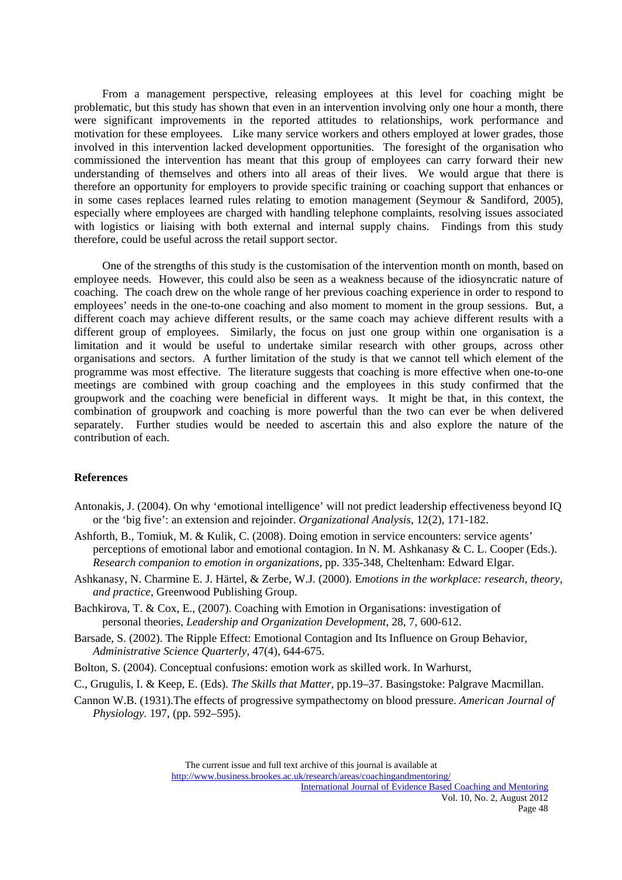From a management perspective, releasing employees at this level for coaching might be problematic, but this study has shown that even in an intervention involving only one hour a month, there were significant improvements in the reported attitudes to relationships, work performance and motivation for these employees. Like many service workers and others employed at lower grades, those involved in this intervention lacked development opportunities. The foresight of the organisation who commissioned the intervention has meant that this group of employees can carry forward their new understanding of themselves and others into all areas of their lives. We would argue that there is therefore an opportunity for employers to provide specific training or coaching support that enhances or in some cases replaces learned rules relating to emotion management (Seymour & Sandiford, 2005), especially where employees are charged with handling telephone complaints, resolving issues associated with logistics or liaising with both external and internal supply chains. Findings from this study therefore, could be useful across the retail support sector.

 One of the strengths of this study is the customisation of the intervention month on month, based on employee needs. However, this could also be seen as a weakness because of the idiosyncratic nature of coaching. The coach drew on the whole range of her previous coaching experience in order to respond to employees' needs in the one-to-one coaching and also moment to moment in the group sessions. But, a different coach may achieve different results, or the same coach may achieve different results with a different group of employees. Similarly, the focus on just one group within one organisation is a limitation and it would be useful to undertake similar research with other groups, across other organisations and sectors. A further limitation of the study is that we cannot tell which element of the programme was most effective. The literature suggests that coaching is more effective when one-to-one meetings are combined with group coaching and the employees in this study confirmed that the groupwork and the coaching were beneficial in different ways. It might be that, in this context, the combination of groupwork and coaching is more powerful than the two can ever be when delivered separately. Further studies would be needed to ascertain this and also explore the nature of the contribution of each.

## **References**

- Antonakis, J. (2004). On why 'emotional intelligence' will not predict leadership effectiveness beyond IQ or the 'big five': an extension and rejoinder. *Organizational Analysis,* 12(2), 171-182.
- Ashforth, B., Tomiuk, M. & Kulik, C. (2008). Doing emotion in service encounters: service agents' perceptions of emotional labor and emotional contagion. In N. M. Ashkanasy & C. L. Cooper (Eds.). *Research companion to emotion in organizations,* pp. 335-348, Cheltenham: Edward Elgar.
- Ashkanasy, N. Charmine E. J. Härtel, & Zerbe, W.J. (2000). E*motions in the workplace: research, theory, and practice*, Greenwood Publishing Group.
- Bachkirova, T. & Cox, E., (2007). Coaching with Emotion in Organisations: investigation of personal theories, *Leadership and Organization Development*, 28, 7, 600-612.
- Barsade, S. (2002). The Ripple Effect: Emotional Contagion and Its Influence on Group Behavior, *Administrative Science Quarterly*, 47(4), 644-675.
- Bolton, S. (2004). Conceptual confusions: emotion work as skilled work. In Warhurst,
- C., Grugulis, I. & Keep, E. (Eds). *The Skills that Matter*, pp.19–37. Basingstoke: Palgrave Macmillan.
- Cannon W.B. (1931).The effects of progressive sympathectomy on blood pressure. *American Journal of Physiology.* 197, (pp. 592–595).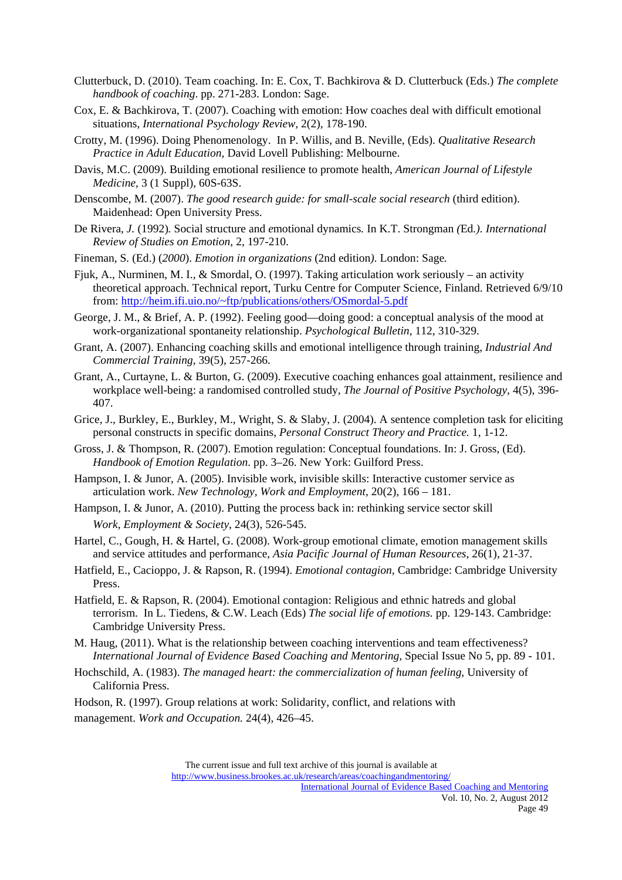- Clutterbuck, D. (2010). Team coaching. In: E. Cox, T. Bachkirova & D. Clutterbuck (Eds.) *The complete handbook of coaching*. pp. 271-283. London: Sage.
- Cox, E. & Bachkirova, T. (2007). Coaching with emotion: How coaches deal with difficult emotional situations, *International Psychology Review,* 2(2), 178-190.
- Crotty, M. (1996). Doing Phenomenology. In P. Willis, and B. Neville, (Eds). *Qualitative Research Practice in Adult Education*, David Lovell Publishing: Melbourne.
- Davis, M.C. (2009). Building emotional resilience to promote health, *American Journal of Lifestyle Medicine*, 3 (1 Suppl), 60S-63S.
- Denscombe, M. (2007). *The good research guide: for small-scale social research* (third edition). Maidenhead: Open University Press.
- De Rivera*, J.* (1992)*.* Social structure and *e*motional dynamics*.* In K.T. Strongman *(*Ed*.). International Review of Studies on Emotion*, 2, 197-210.
- Fineman*,* S*.* (Ed.) (*2000*). *Emotion in organizations* (2nd edition*).* London: Sage*.*
- Fjuk, A., Nurminen, M. I., & Smordal, O. (1997). Taking articulation work seriously an activity theoretical approach. Technical report, Turku Centre for Computer Science, Finland. Retrieved 6/9/10 from: http://heim.ifi.uio.no/~ftp/publications/others/OSmordal-5.pdf
- George, J. M., & Brief, A. P. (1992). Feeling good—doing good: a conceptual analysis of the mood at work-organizational spontaneity relationship. *Psychological Bulletin*, 112, 310-329.
- Grant, A. (2007). Enhancing coaching skills and emotional intelligence through training, *Industrial And Commercial Training*, 39(5), 257-266.
- Grant, A., Curtayne, L. & Burton, G. (2009). Executive coaching enhances goal attainment, resilience and workplace well-being: a randomised controlled study, *The Journal of Positive Psychology*, 4(5), 396- 407.
- Grice, J., Burkley, E., Burkley, M., Wright, S. & Slaby, J. (2004). A sentence completion task for eliciting personal constructs in specific domains, *Personal Construct Theory and Practice.* 1, 1-12.
- Gross, J. & Thompson, R. (2007). Emotion regulation: Conceptual foundations. In: J. Gross, (Ed). *Handbook of Emotion Regulation*. pp. 3–26. New York: Guilford Press.
- Hampson, I. & Junor, A. (2005). Invisible work, invisible skills: Interactive customer service as articulation work. *New Technology, Work and Employment*, 20(2), 166 – 181.
- Hampson, I. & Junor, A. (2010). Putting the process back in: rethinking service sector skill  *Work, Employment & Society*, 24(3), 526-545.
- Hartel, C., Gough, H. & Hartel, G. (2008). Work-group emotional climate, emotion management skills and service attitudes and performance, *Asia Pacific Journal of Human Resources*, 26(1), 21-37.
- Hatfield, E., Cacioppo, J. & Rapson, R. (1994). *Emotional contagion*, Cambridge: Cambridge University Press.
- Hatfield, E. & Rapson, R. (2004). Emotional contagion: Religious and ethnic hatreds and global terrorism. In L. Tiedens, & C.W. Leach (Eds) *The social life of emotions.* pp. 129-143. Cambridge: Cambridge University Press.
- M. Haug, (2011). What is the relationship between coaching interventions and team effectiveness? *International Journal of Evidence Based Coaching and Mentoring,* Special Issue No 5, pp. 89 - 101.
- Hochschild, A. (1983). *The managed heart: the commercialization of human feeling*, University of California Press.
- Hodson, R. (1997). Group relations at work: Solidarity, conflict, and relations with management. *Work and Occupation.* 24(4), 426–45.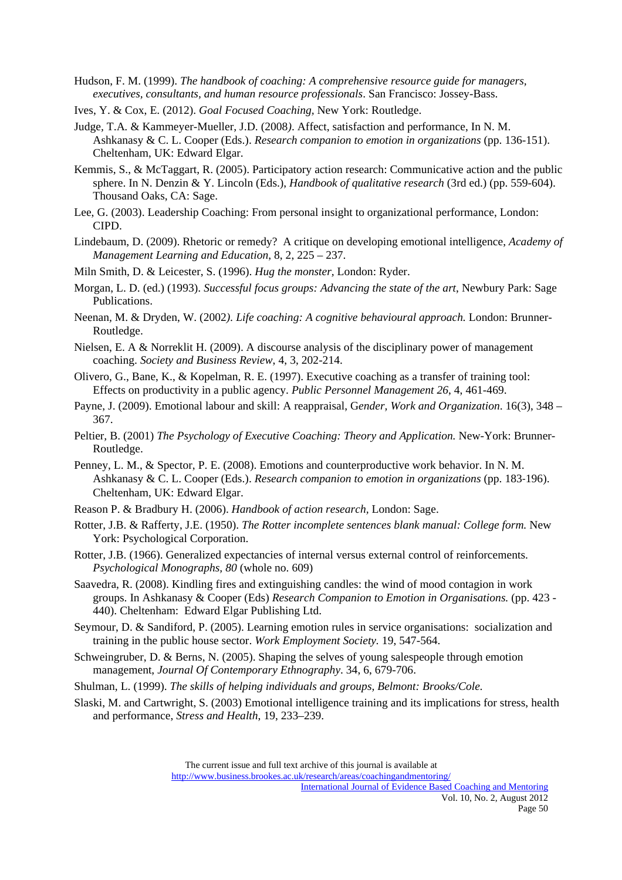Hudson, F. M. (1999). *The handbook of coaching: A comprehensive resource guide for managers, executives, consultants, and human resource professionals*. San Francisco: Jossey-Bass.

- Ives, Y. & Cox, E. (2012). *Goal Focused Coaching,* New York: Routledge.
- Judge*,* T.A*.* & Kammeyer*-*Mueller*,* J.D. (2008*)*. Affect, satisfaction and performance, In N. M. Ashkanasy & C. L. Cooper (Eds.). *Research companion to emotion in organizations* (pp. 136-151). Cheltenham, UK: Edward Elgar.
- Kemmis, S., & McTaggart, R. (2005). Participatory action research: Communicative action and the public sphere. In N. Denzin & Y. Lincoln (Eds.), *Handbook of qualitative research* (3rd ed.) (pp. 559-604). Thousand Oaks, CA: Sage.
- Lee, G. (2003). Leadership Coaching: From personal insight to organizational performance, London: CIPD.
- Lindebaum, D. (2009). Rhetoric or remedy? A critique on developing emotional intelligence, *Academy of Management Learning and Education*, 8, 2, 225 – 237.
- Miln Smith, D. & Leicester, S. (1996). *Hug the monster,* London: Ryder.
- Morgan, L. D. (ed.) (1993). *Successful focus groups: Advancing the state of the art*, Newbury Park: Sage Publications.
- Neenan*,* M. & Dryden, W. (2002*). Life coaching: A cognitive behavioural approach.* London: Brunner-Routledge.
- Nielsen, E. A & Norreklit H. (2009). A discourse analysis of the disciplinary power of management coaching. *Society and Business Review*, 4, 3, 202-214.
- Olivero, G., Bane, K., & Kopelman, R. E. (1997). Executive coaching as a transfer of training tool: Effects on productivity in a public agency. *Public Personnel Management 26*, 4, 461-469.
- Payne, J. (2009). Emotional labour and skill: A reappraisal, G*ender, Work and Organization*. 16(3), 348 367.
- Peltier*,* B. (2001) *The Psychology of Executive Coaching: Theory and Application.* New-York: Brunner-Routledge.
- Penney, L. M., & Spector, P. E. (2008). Emotions and counterproductive work behavior. In N. M. Ashkanasy & C. L. Cooper (Eds.). *Research companion to emotion in organizations* (pp. 183‐196). Cheltenham, UK: Edward Elgar.
- Reason P. & Bradbury H. (2006). *Handbook of action research,* London: Sage.
- Rotter, J.B. & Rafferty, J.E. (1950). *The Rotter incomplete sentences blank manual: College form.* New York: Psychological Corporation.
- Rotter, J.B. (1966). Generalized expectancies of internal versus external control of reinforcements. *Psychological Monographs, 80* (whole no. 609)
- Saavedra, R. (2008). Kindling fires and extinguishing candles: the wind of mood contagion in work groups. In Ashkanasy & Cooper (Eds) *Research Companion to Emotion in Organisations.* (pp. 423 - 440). Cheltenham: Edward Elgar Publishing Ltd.
- Seymour, D. & Sandiford, P. (2005). Learning emotion rules in service organisations: socialization and training in the public house sector. *Work Employment Society.* 19, 547-564.
- Schweingruber, D. & Berns, N. (2005). Shaping the selves of young salespeople through emotion management, *Journal Of Contemporary Ethnography*. 34, 6, 679-706.
- Shulman, L. (1999). *The skills of helping individuals and groups, Belmont: Brooks/Cole.*
- Slaski, M. and Cartwright, S. (2003) Emotional intelligence training and its implications for stress, health and performance, *Stress and Health*, 19, 233–239.

The current issue and full text archive of this journal is available at http://www.business.brookes.ac.uk/research/areas/coachingandmentoring/

International Journal of Evidence Based Coaching and Mentoring Vol. 10, No. 2, August 2012